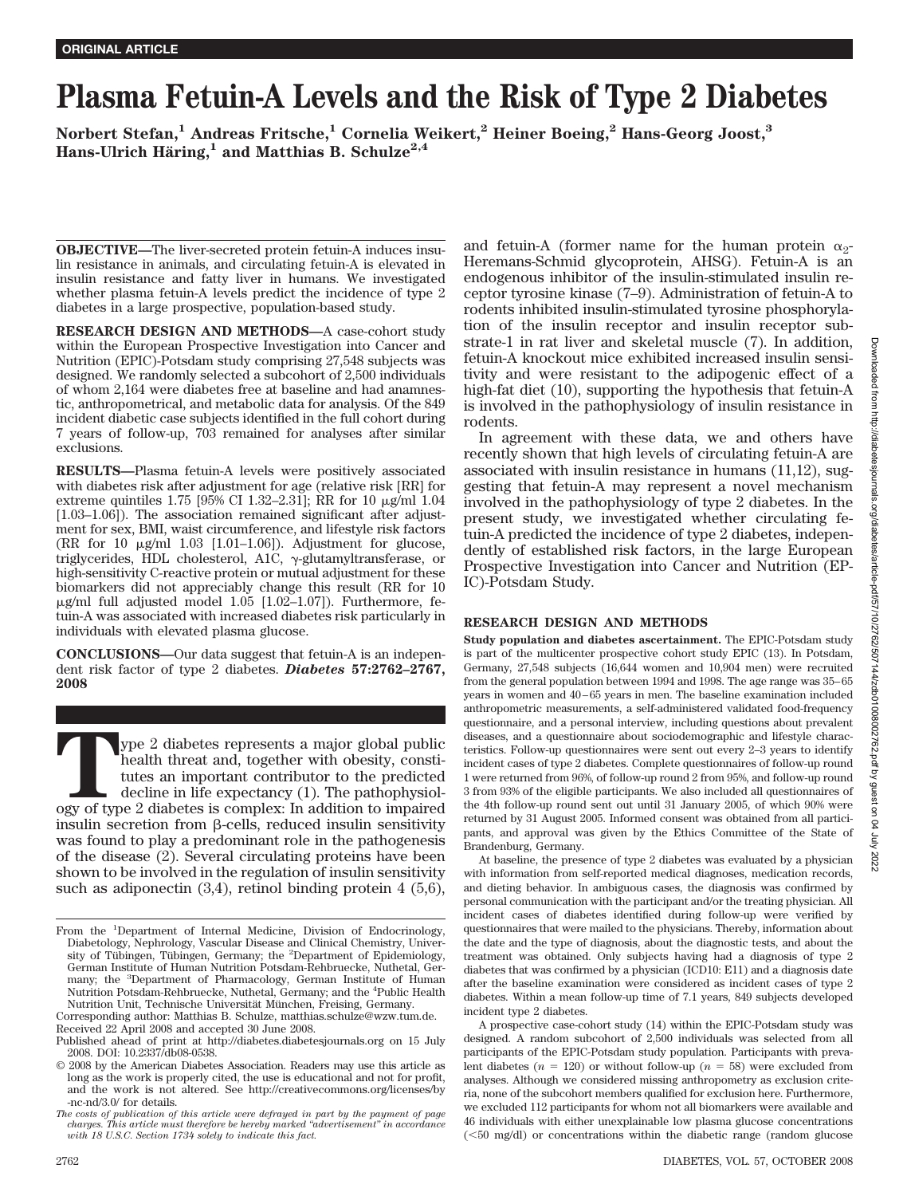# **Plasma Fetuin-A Levels and the Risk of Type 2 Diabetes**

**Norbert Stefan,1 Andreas Fritsche,1 Cornelia Weikert,2 Heiner Boeing,2 Hans-Georg Joost,3** Hans-Ulrich Häring,<sup>1</sup> and Matthias B. Schulze<sup>2,4</sup>

**OBJECTIVE—**The liver-secreted protein fetuin-A induces insulin resistance in animals, and circulating fetuin-A is elevated in insulin resistance and fatty liver in humans. We investigated whether plasma fetuin-A levels predict the incidence of type 2 diabetes in a large prospective, population-based study.

**RESEARCH DESIGN AND METHODS—**A case-cohort study within the European Prospective Investigation into Cancer and Nutrition (EPIC)-Potsdam study comprising 27,548 subjects was designed. We randomly selected a subcohort of 2,500 individuals of whom 2,164 were diabetes free at baseline and had anamnestic, anthropometrical, and metabolic data for analysis. Of the 849 incident diabetic case subjects identified in the full cohort during 7 years of follow-up, 703 remained for analyses after similar exclusions.

**RESULTS—**Plasma fetuin-A levels were positively associated with diabetes risk after adjustment for age (relative risk [RR] for extreme quintiles 1.75 [95% CI 1.32–2.31]; RR for 10  $\mu$ g/ml 1.04 [1.03–1.06]). The association remained significant after adjustment for sex, BMI, waist circumference, and lifestyle risk factors (RR for 10  $\mu$ g/ml 1.03 [1.01–1.06]). Adjustment for glucose, triglycerides, HDL cholesterol, A1C, γ-glutamyltransferase, or high-sensitivity C-reactive protein or mutual adjustment for these biomarkers did not appreciably change this result (RR for 10  $\mu$ g/ml full adjusted model 1.05 [1.02–1.07]). Furthermore, fetuin-A was associated with increased diabetes risk particularly in individuals with elevated plasma glucose.

**CONCLUSIONS—**Our data suggest that fetuin-A is an independent risk factor of type 2 diabetes. *Diabetes* **57:2762–2767, 2008**

**T**ype 2 diabetes represents a major global public health threat and, together with obesity, constitutes an important contributor to the predicted decline in life expectancy (1). The pathophysiology of type 2 diabetes is complex: In addition to impaired insulin secretion from  $\beta$ -cells, reduced insulin sensitivity was found to play a predominant role in the pathogenesis of the disease (2). Several circulating proteins have been shown to be involved in the regulation of insulin sensitivity such as adiponectin (3,4), retinol binding protein 4 (5,6),

Corresponding author: Matthias B. Schulze, matthias.schulze@wzw.tum.de. Received 22 April 2008 and accepted 30 June 2008.

and fetuin-A (former name for the human protein  $\alpha_2$ -Heremans-Schmid glycoprotein, AHSG). Fetuin-A is an endogenous inhibitor of the insulin-stimulated insulin receptor tyrosine kinase (7–9). Administration of fetuin-A to rodents inhibited insulin-stimulated tyrosine phosphorylation of the insulin receptor and insulin receptor substrate-1 in rat liver and skeletal muscle (7). In addition, fetuin-A knockout mice exhibited increased insulin sensitivity and were resistant to the adipogenic effect of a high-fat diet (10), supporting the hypothesis that fetuin-A is involved in the pathophysiology of insulin resistance in rodents.

In agreement with these data, we and others have recently shown that high levels of circulating fetuin-A are associated with insulin resistance in humans (11,12), suggesting that fetuin-A may represent a novel mechanism involved in the pathophysiology of type 2 diabetes. In the present study, we investigated whether circulating fetuin-A predicted the incidence of type 2 diabetes, independently of established risk factors, in the large European Prospective Investigation into Cancer and Nutrition (EP-IC)-Potsdam Study.

# **RESEARCH DESIGN AND METHODS**

**Study population and diabetes ascertainment.** The EPIC-Potsdam study is part of the multicenter prospective cohort study EPIC (13). In Potsdam, Germany, 27,548 subjects (16,644 women and 10,904 men) were recruited from the general population between 1994 and 1998. The age range was 35– 65 years in women and 40 – 65 years in men. The baseline examination included anthropometric measurements, a self-administered validated food-frequency questionnaire, and a personal interview, including questions about prevalent diseases, and a questionnaire about sociodemographic and lifestyle characteristics. Follow-up questionnaires were sent out every 2–3 years to identify incident cases of type 2 diabetes. Complete questionnaires of follow-up round 1 were returned from 96%, of follow-up round 2 from 95%, and follow-up round 3 from 93% of the eligible participants. We also included all questionnaires of the 4th follow-up round sent out until 31 January 2005, of which 90% were returned by 31 August 2005. Informed consent was obtained from all participants, and approval was given by the Ethics Committee of the State of Brandenburg, Germany.

At baseline, the presence of type 2 diabetes was evaluated by a physician with information from self-reported medical diagnoses, medication records, and dieting behavior. In ambiguous cases, the diagnosis was confirmed by personal communication with the participant and/or the treating physician. All incident cases of diabetes identified during follow-up were verified by questionnaires that were mailed to the physicians. Thereby, information about the date and the type of diagnosis, about the diagnostic tests, and about the treatment was obtained. Only subjects having had a diagnosis of type 2 diabetes that was confirmed by a physician (ICD10: E11) and a diagnosis date after the baseline examination were considered as incident cases of type 2 diabetes. Within a mean follow-up time of 7.1 years, 849 subjects developed incident type 2 diabetes.

A prospective case-cohort study (14) within the EPIC-Potsdam study was designed. A random subcohort of 2,500 individuals was selected from all participants of the EPIC-Potsdam study population. Participants with prevalent diabetes  $(n = 120)$  or without follow-up  $(n = 58)$  were excluded from analyses. Although we considered missing anthropometry as exclusion criteria, none of the subcohort members qualified for exclusion here. Furthermore, we excluded 112 participants for whom not all biomarkers were available and 46 individuals with either unexplainable low plasma glucose concentrations (50 mg/dl) or concentrations within the diabetic range (random glucose

From the <sup>1</sup>Department of Internal Medicine, Division of Endocrinology, Diabetology, Nephrology, Vascular Disease and Clinical Chemistry, Univer-<br>sity of Tübingen, Tübingen, Germany; the <sup>2</sup>Department of Epidemiology, German Institute of Human Nutrition Potsdam-Rehbruecke, Nuthetal, Germany; the <sup>3</sup>Department of Pharmacology, German Institute of Human Nutrition Potsdam-Rehbruecke, Nuthetal, Germany; and the <sup>4</sup> Public Health Nutrition Unit, Technische Universität München, Freising, Germany.

Published ahead of print at http://diabetes.diabetesjournals.org on 15 July 2008. DOI: 10.2337/db08-0538.

<sup>© 2008</sup> by the American Diabetes Association. Readers may use this article as long as the work is properly cited, the use is educational and not for profit, and the work is not altered. See http://creativecommons.org/licenses/by -nc-nd/3.0/ for details.

*The costs of publication of this article were defrayed in part by the payment of page charges. This article must therefore be hereby marked "advertisement" in accordance with 18 U.S.C. Section 1734 solely to indicate this fact.*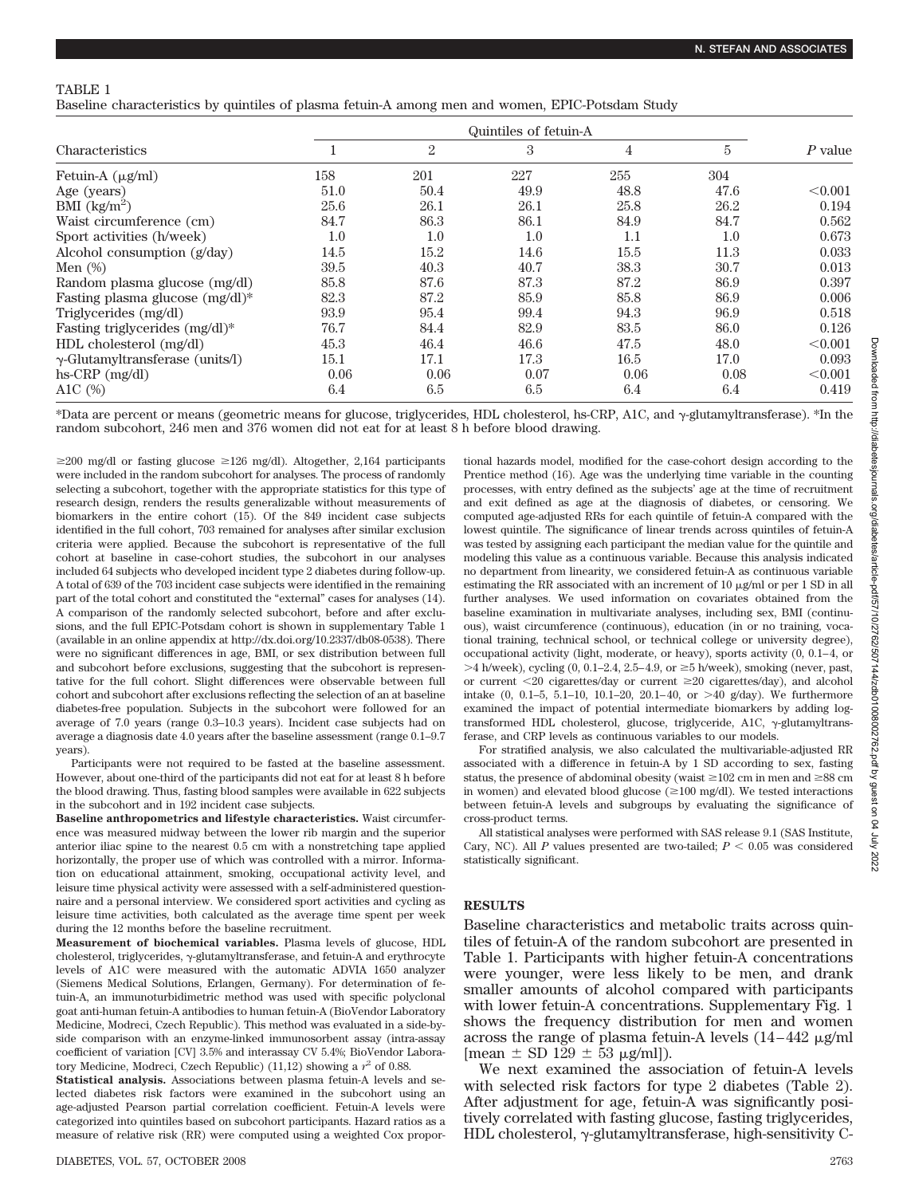## TABLE 1

Baseline characteristics by quintiles of plasma fetuin-A among men and women, EPIC-Potsdam Study

| <b>Characteristics</b>                  | Quintiles of fetuin-A |      |      |      |      |           |
|-----------------------------------------|-----------------------|------|------|------|------|-----------|
|                                         |                       | 2    | 3    | 4    | 5    | $P$ value |
| Fetuin-A $(\mu g/ml)$                   | 158                   | 201  | 227  | 255  | 304  |           |
| Age (years)                             | 51.0                  | 50.4 | 49.9 | 48.8 | 47.6 | < 0.001   |
| BMI $\left(\frac{kg}{m^2}\right)$       | 25.6                  | 26.1 | 26.1 | 25.8 | 26.2 | 0.194     |
| Waist circumference (cm)                | 84.7                  | 86.3 | 86.1 | 84.9 | 84.7 | 0.562     |
| Sport activities (h/week)               | $1.0\,$               | 1.0  | 1.0  | 1.1  | 1.0  | 0.673     |
| Alcohol consumption $(g/day)$           | 14.5                  | 15.2 | 14.6 | 15.5 | 11.3 | 0.033     |
| Men $(\%)$                              | 39.5                  | 40.3 | 40.7 | 38.3 | 30.7 | 0.013     |
| Random plasma glucose (mg/dl)           | 85.8                  | 87.6 | 87.3 | 87.2 | 86.9 | 0.397     |
| Fasting plasma glucose $(mg/dl)^*$      | 82.3                  | 87.2 | 85.9 | 85.8 | 86.9 | 0.006     |
| Triglycerides (mg/dl)                   | 93.9                  | 95.4 | 99.4 | 94.3 | 96.9 | 0.518     |
| Fasting triglycerides (mg/dl)*          | 76.7                  | 84.4 | 82.9 | 83.5 | 86.0 | 0.126     |
| HDL cholesterol (mg/dl)                 | 45.3                  | 46.4 | 46.6 | 47.5 | 48.0 | < 0.001   |
| $\gamma$ -Glutamyltransferase (units/l) | 15.1                  | 17.1 | 17.3 | 16.5 | 17.0 | 0.093     |
| $hs-CRP$ (mg/dl)                        | 0.06                  | 0.06 | 0.07 | 0.06 | 0.08 | < 0.001   |
| A1C $(\%)$                              | 6.4                   | 6.5  | 6.5  | 6.4  | 6.4  | 0.419     |

\*Data are percent or means (geometric means for glucose, triglycerides, HDL cholesterol, hs-CRP, A1C, and γ-glutamyltransferase). \*In the random subcohort, 246 men and 376 women did not eat for at least 8 h before blood drawing.

 $\geq$ 200 mg/dl or fasting glucose  $\geq$ 126 mg/dl). Altogether, 2,164 participants were included in the random subcohort for analyses. The process of randomly selecting a subcohort, together with the appropriate statistics for this type of research design, renders the results generalizable without measurements of biomarkers in the entire cohort (15). Of the 849 incident case subjects identified in the full cohort, 703 remained for analyses after similar exclusion criteria were applied. Because the subcohort is representative of the full cohort at baseline in case-cohort studies, the subcohort in our analyses included 64 subjects who developed incident type 2 diabetes during follow-up. A total of 639 of the 703 incident case subjects were identified in the remaining part of the total cohort and constituted the "external" cases for analyses (14). A comparison of the randomly selected subcohort, before and after exclusions, and the full EPIC-Potsdam cohort is shown in supplementary Table 1 (available in an online appendix at http://dx.doi.org/10.2337/db08-0538). There were no significant differences in age, BMI, or sex distribution between full and subcohort before exclusions, suggesting that the subcohort is representative for the full cohort. Slight differences were observable between full cohort and subcohort after exclusions reflecting the selection of an at baseline diabetes-free population. Subjects in the subcohort were followed for an average of 7.0 years (range 0.3–10.3 years). Incident case subjects had on average a diagnosis date 4.0 years after the baseline assessment (range 0.1–9.7 years).

Participants were not required to be fasted at the baseline assessment. However, about one-third of the participants did not eat for at least 8 h before the blood drawing. Thus, fasting blood samples were available in 622 subjects in the subcohort and in 192 incident case subjects.

**Baseline anthropometrics and lifestyle characteristics.** Waist circumference was measured midway between the lower rib margin and the superior anterior iliac spine to the nearest 0.5 cm with a nonstretching tape applied horizontally, the proper use of which was controlled with a mirror. Information on educational attainment, smoking, occupational activity level, and leisure time physical activity were assessed with a self-administered questionnaire and a personal interview. We considered sport activities and cycling as leisure time activities, both calculated as the average time spent per week during the 12 months before the baseline recruitment.

**Measurement of biochemical variables.** Plasma levels of glucose, HDL cholesterol, triglycerides,  $\gamma$ -glutamyltransferase, and fetuin-A and erythrocyte levels of A1C were measured with the automatic ADVIA 1650 analyzer (Siemens Medical Solutions, Erlangen, Germany). For determination of fetuin-A, an immunoturbidimetric method was used with specific polyclonal goat anti-human fetuin-A antibodies to human fetuin-A (BioVendor Laboratory Medicine, Modreci, Czech Republic). This method was evaluated in a side-byside comparison with an enzyme-linked immunosorbent assay (intra-assay coefficient of variation [CV] 3.5% and interassay CV 5.4%; BioVendor Laboratory Medicine, Modreci, Czech Republic)  $(11,12)$  showing a  $r^2$  of 0.88.

**Statistical analysis.** Associations between plasma fetuin-A levels and selected diabetes risk factors were examined in the subcohort using an age-adjusted Pearson partial correlation coefficient. Fetuin-A levels were categorized into quintiles based on subcohort participants. Hazard ratios as a measure of relative risk (RR) were computed using a weighted Cox proportional hazards model, modified for the case-cohort design according to the Prentice method (16). Age was the underlying time variable in the counting processes, with entry defined as the subjects' age at the time of recruitment and exit defined as age at the diagnosis of diabetes, or censoring. We computed age-adjusted RRs for each quintile of fetuin-A compared with the lowest quintile. The significance of linear trends across quintiles of fetuin-A was tested by assigning each participant the median value for the quintile and modeling this value as a continuous variable. Because this analysis indicated no department from linearity, we considered fetuin-A as continuous variable estimating the RR associated with an increment of  $10 \mu\text{g/ml}$  or per 1 SD in all further analyses. We used information on covariates obtained from the baseline examination in multivariate analyses, including sex, BMI (continuous), waist circumference (continuous), education (in or no training, vocational training, technical school, or technical college or university degree), occupational activity (light, moderate, or heavy), sports activity (0, 0.1– 4, or  $>4$  h/week), cycling (0, 0.1–2.4, 2.5–4.9, or  $\geq$  5 h/week), smoking (never, past, or current 20 cigarettes/day or current 20 cigarettes/day), and alcohol intake  $(0, 0.1-5, 5.1-10, 10.1-20, 20.1-40, \text{ or } >40 \text{ g/day})$ . We furthermore examined the impact of potential intermediate biomarkers by adding logtransformed HDL cholesterol, glucose, triglyceride, A1C, y-glutamyltransferase, and CRP levels as continuous variables to our models.

For stratified analysis, we also calculated the multivariable-adjusted RR associated with a difference in fetuin-A by 1 SD according to sex, fasting status, the presence of abdominal obesity (waist  $\geq 102$  cm in men and  $\geq 88$  cm in women) and elevated blood glucose ( $\geq$ 100 mg/dl). We tested interactions between fetuin-A levels and subgroups by evaluating the significance of cross-product terms.

All statistical analyses were performed with SAS release 9.1 (SAS Institute, Cary, NC). All *P* values presented are two-tailed;  $P < 0.05$  was considered statistically significant.

# **RESULTS**

Baseline characteristics and metabolic traits across quintiles of fetuin-A of the random subcohort are presented in Table 1. Participants with higher fetuin-A concentrations were younger, were less likely to be men, and drank smaller amounts of alcohol compared with participants with lower fetuin-A concentrations. Supplementary Fig. 1 shows the frequency distribution for men and women across the range of plasma fetuin-A levels  $(14-442 \text{ }\mu\text{g/ml})$ [mean  $\pm$  SD 129  $\pm$  53  $\mu$ g/ml]).

We next examined the association of fetuin-A levels with selected risk factors for type 2 diabetes (Table 2). After adjustment for age, fetuin-A was significantly positively correlated with fasting glucose, fasting triglycerides, HDL cholesterol, y-glutamyltransferase, high-sensitivity C-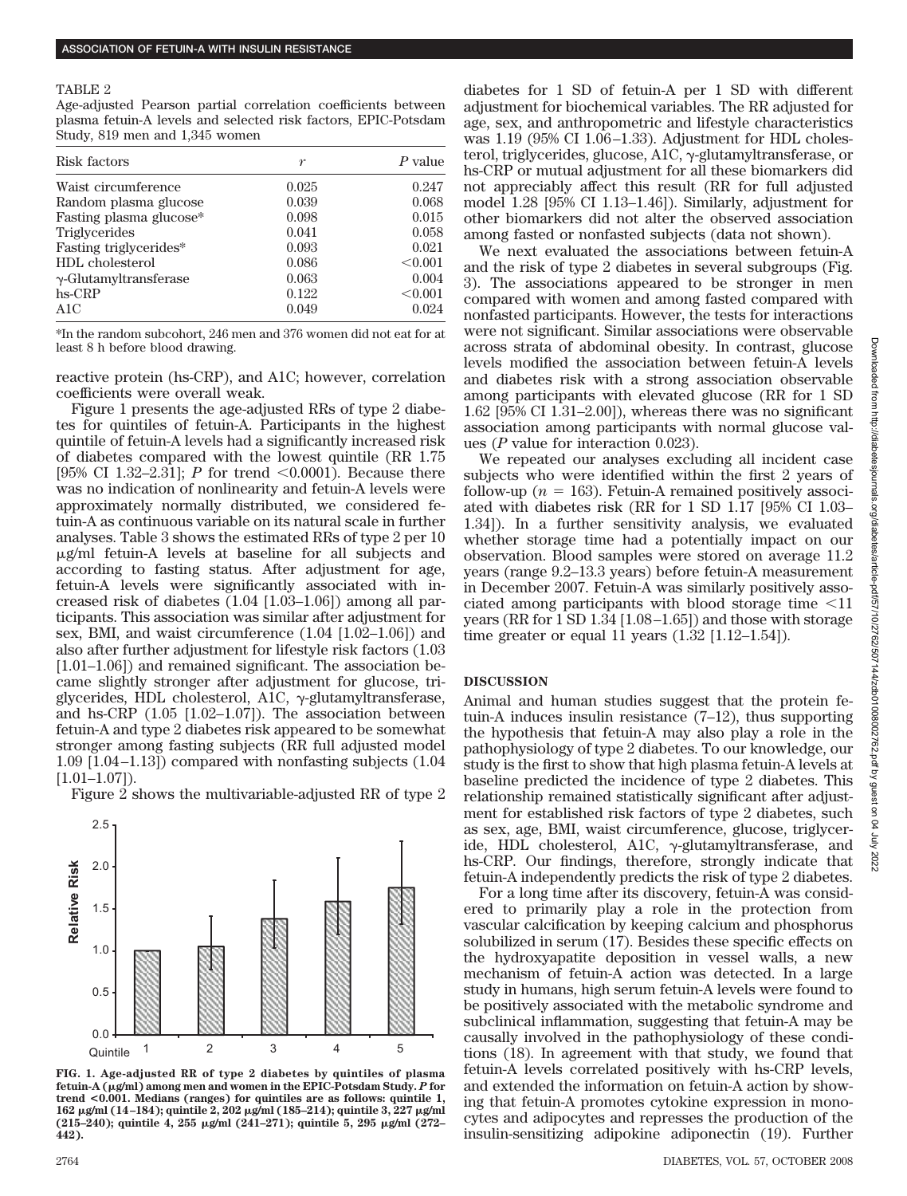### TABLE 2

Age-adjusted Pearson partial correlation coefficients between plasma fetuin-A levels and selected risk factors, EPIC-Potsdam Study, 819 men and 1,345 women

| Risk factors                  | r     | P value |  |
|-------------------------------|-------|---------|--|
| Waist circumference           | 0.025 | 0.247   |  |
| Random plasma glucose         | 0.039 | 0.068   |  |
| Fasting plasma glucose*       | 0.098 | 0.015   |  |
| Triglycerides                 | 0.041 | 0.058   |  |
| Fasting triglycerides*        | 0.093 | 0.021   |  |
| HDL cholesterol               | 0.086 | < 0.001 |  |
| $\gamma$ -Glutamyltransferase | 0.063 | 0.004   |  |
| $hs-CRP$                      | 0.122 | < 0.001 |  |
| A1C                           | 0.049 | 0.024   |  |

\*In the random subcohort, 246 men and 376 women did not eat for at least 8 h before blood drawing.

reactive protein (hs-CRP), and A1C; however, correlation coefficients were overall weak.

Figure 1 presents the age-adjusted RRs of type 2 diabetes for quintiles of fetuin-A. Participants in the highest quintile of fetuin-A levels had a significantly increased risk of diabetes compared with the lowest quintile (RR 1.75 [95% CI 1.32–2.31]; *P* for trend  $\leq 0.0001$ . Because there was no indication of nonlinearity and fetuin-A levels were approximately normally distributed, we considered fetuin-A as continuous variable on its natural scale in further analyses. Table 3 shows the estimated RRs of type 2 per 10  $\mu$ g/ml fetuin-A levels at baseline for all subjects and according to fasting status. After adjustment for age, fetuin-A levels were significantly associated with increased risk of diabetes (1.04 [1.03–1.06]) among all participants. This association was similar after adjustment for sex, BMI, and waist circumference (1.04 [1.02–1.06]) and also after further adjustment for lifestyle risk factors (1.03 [1.01–1.06]) and remained significant. The association became slightly stronger after adjustment for glucose, triglycerides, HDL cholesterol, A1C,  $\gamma$ -glutamyltransferase, and hs-CRP (1.05 [1.02–1.07]). The association between fetuin-A and type 2 diabetes risk appeared to be somewhat stronger among fasting subjects (RR full adjusted model 1.09 [1.04 –1.13]) compared with nonfasting subjects (1.04  $[1.01-1.07]$ .

Figure 2 shows the multivariable-adjusted RR of type 2



**FIG. 1. Age-adjusted RR of type 2 diabetes by quintiles of plasma fetuin-A (g/ml) among men and women in the EPIC-Potsdam Study.** *P* **for trend <0.001. Medians (ranges) for quintiles are as follows: quintile 1, 162 g/ml (14–184); quintile 2, 202 g/ml (185–214); quintile 3, 227 g/ml (215–240); quintile 4, 255 g/ml (241–271); quintile 5, 295 g/ml (272– 442).**

diabetes for 1 SD of fetuin-A per 1 SD with different adjustment for biochemical variables. The RR adjusted for age, sex, and anthropometric and lifestyle characteristics was  $1.19$  (95% CI 1.06–1.33). Adjustment for HDL cholesterol, triglycerides, glucose, A1C, γ-glutamyltransferase, or hs-CRP or mutual adjustment for all these biomarkers did not appreciably affect this result (RR for full adjusted model 1.28 [95% CI 1.13–1.46]). Similarly, adjustment for other biomarkers did not alter the observed association among fasted or nonfasted subjects (data not shown).

We next evaluated the associations between fetuin-A and the risk of type 2 diabetes in several subgroups (Fig. 3). The associations appeared to be stronger in men compared with women and among fasted compared with nonfasted participants. However, the tests for interactions were not significant. Similar associations were observable across strata of abdominal obesity. In contrast, glucose levels modified the association between fetuin-A levels and diabetes risk with a strong association observable among participants with elevated glucose (RR for 1 SD 1.62 [95% CI 1.31–2.00]), whereas there was no significant association among participants with normal glucose values (*P* value for interaction 0.023).

We repeated our analyses excluding all incident case subjects who were identified within the first 2 years of follow-up ( $n = 163$ ). Fetuin-A remained positively associ-ated with diabetes risk (RR for 1 SD 1.17 [95% CI 1.03– 1.34]). In a further sensitivity analysis, we evaluated whether storage time had a potentially impact on our observation. Blood samples were stored on average 11.2 years (range 9.2–13.3 years) before fetuin-A measurement in December 2007. Fetuin-A was similarly positively associated among participants with blood storage time  $\leq 11$ years (RR for 1 SD 1.34 [1.08 –1.65]) and those with storage time greater or equal 11 years (1.32 [1.12–1.54]).

# **DISCUSSION**

Animal and human studies suggest that the protein fetuin-A induces insulin resistance (7–12), thus supporting the hypothesis that fetuin-A may also play a role in the pathophysiology of type 2 diabetes. To our knowledge, our study is the first to show that high plasma fetuin-A levels at baseline predicted the incidence of type 2 diabetes. This relationship remained statistically significant after adjustment for established risk factors of type 2 diabetes, such as sex, age, BMI, waist circumference, glucose, triglyceride, HDL cholesterol,  $AIC$ ,  $\gamma$ -glutamyltransferase, and hs-CRP. Our findings, therefore, strongly indicate that fetuin-A independently predicts the risk of type 2 diabetes.

For a long time after its discovery, fetuin-A was considered to primarily play a role in the protection from vascular calcification by keeping calcium and phosphorus solubilized in serum (17). Besides these specific effects on the hydroxyapatite deposition in vessel walls, a new mechanism of fetuin-A action was detected. In a large study in humans, high serum fetuin-A levels were found to be positively associated with the metabolic syndrome and subclinical inflammation, suggesting that fetuin-A may be causally involved in the pathophysiology of these conditions (18). In agreement with that study, we found that fetuin-A levels correlated positively with hs-CRP levels, and extended the information on fetuin-A action by showing that fetuin-A promotes cytokine expression in monocytes and adipocytes and represses the production of the insulin-sensitizing adipokine adiponectin (19). Further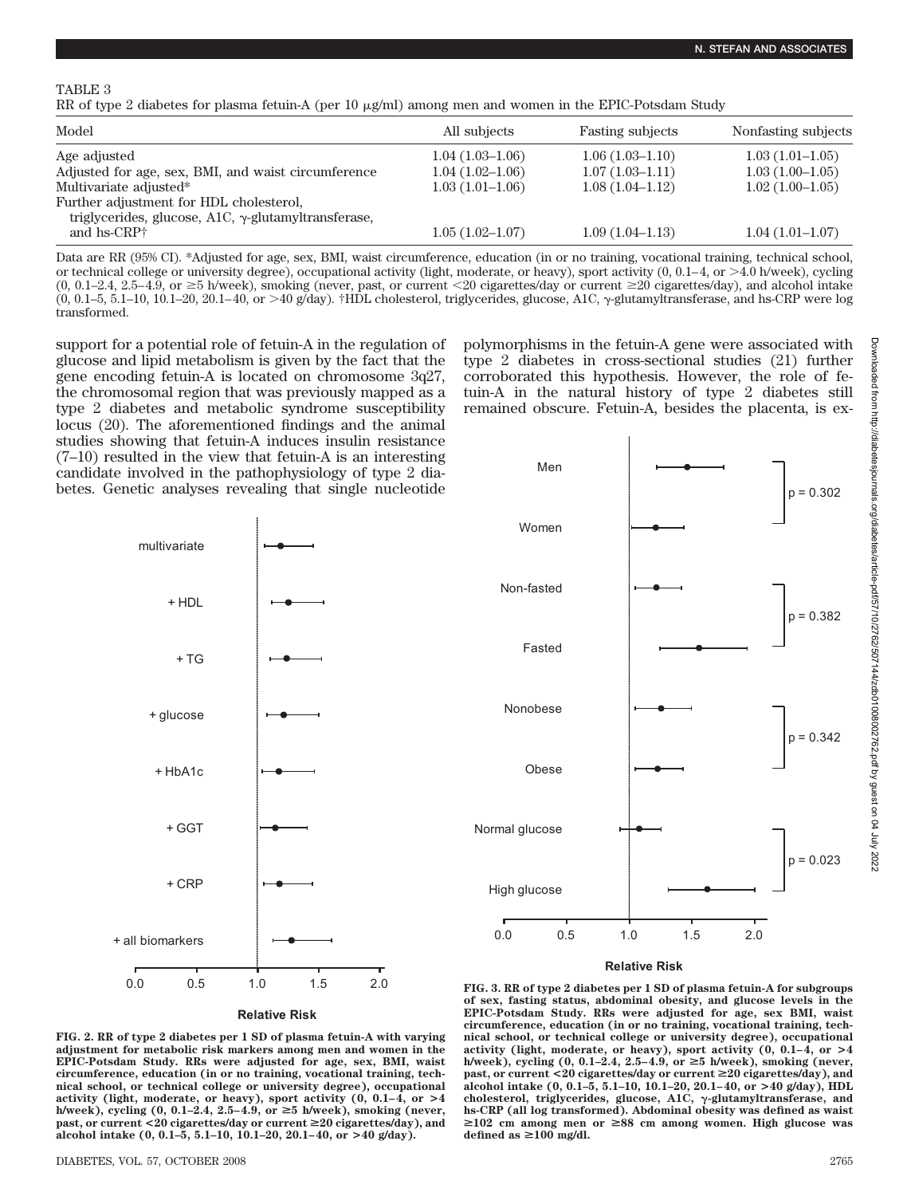TABLE 3

RR of type 2 diabetes for plasma fetuin-A (per 10  $\mu$ g/ml) among men and women in the EPIC-Potsdam Study

| Model                                                                                                  | All subjects        | <b>Fasting subjects</b> | Nonfasting subjects |
|--------------------------------------------------------------------------------------------------------|---------------------|-------------------------|---------------------|
| Age adjusted                                                                                           | $1.04(1.03-1.06)$   | $1.06(1.03-1.10)$       | $1.03(1.01-1.05)$   |
| Adjusted for age, sex, BMI, and waist circumference                                                    | $1.04(1.02-1.06)$   | $1.07(1.03-1.11)$       | $1.03(1.00-1.05)$   |
| Multivariate adjusted*                                                                                 | $1.03(1.01-1.06)$   | $1.08(1.04-1.12)$       | $1.02(1.00-1.05)$   |
| Further adjustment for HDL cholesterol,<br>triglycerides, glucose, A1C, $\gamma$ -glutamyltransferase, |                     |                         |                     |
| and hs-CRP <sup>+</sup>                                                                                | $1.05(1.02 - 1.07)$ | $1.09(1.04-1.13)$       | $1.04(1.01-1.07)$   |

Data are RR (95% CI). \*Adjusted for age, sex, BMI, waist circumference, education (in or no training, vocational training, technical school, or technical college or university degree), occupational activity (light, moderate, or heavy), sport activity  $(0, 0.1-4, 0.01-4)$  h/week), cycling  $(0, 0.1-2.4, 2.5-4.9, \text{ or } \geq 5 \text{ h/week})$ , smoking (never, past, or current <20 cigarettes/day or current  $\geq 20$  cigarettes/day), and alcohol intake  $(0, 0.1-5, 5.1-10, 10.1-20, 20.1-40,$  or  $>40$  g/day). †HDL cholesterol, triglycerides, glucose, A1C,  $\gamma$ -glutamyltransferase, and hs-CRP were log transformed.

support for a potential role of fetuin-A in the regulation of glucose and lipid metabolism is given by the fact that the gene encoding fetuin-A is located on chromosome 3q27, the chromosomal region that was previously mapped as a type 2 diabetes and metabolic syndrome susceptibility locus (20). The aforementioned findings and the animal studies showing that fetuin-A induces insulin resistance (7–10) resulted in the view that fetuin-A is an interesting candidate involved in the pathophysiology of type 2 diabetes. Genetic analyses revealing that single nucleotide

polymorphisms in the fetuin-A gene were associated with type 2 diabetes in cross-sectional studies (21) further corroborated this hypothesis. However, the role of fetuin-A in the natural history of type 2 diabetes still remained obscure. Fetuin-A, besides the placenta, is ex-



**Relative Risk FIG. 2. RR of type 2 diabetes per 1 SD of plasma fetuin-A with varying adjustment for metabolic risk markers among men and women in the EPIC-Potsdam Study. RRs were adjusted for age, sex, BMI, waist circumference, education (in or no training, vocational training, technical school, or technical college or university degree), occupational activity (light, moderate, or heavy), sport activity (0, 0.1–4, or >4 h/week), cycling (0, 0.1–2.4, 2.5–4.9, or** >**5 h/week), smoking (never, past, or current <20 cigarettes/day or current** >**20 cigarettes/day), and alcohol intake (0, 0.1–5, 5.1–10, 10.1–20, 20.1–40, or >40 g/day).**



**Relative Risk FIG. 3. RR of type 2 diabetes per 1 SD of plasma fetuin-A for subgroups of sex, fasting status, abdominal obesity, and glucose levels in the EPIC-Potsdam Study. RRs were adjusted for age, sex BMI, waist circumference, education (in or no training, vocational training, technical school, or technical college or university degree), occupational activity (light, moderate, or heavy), sport activity (0, 0.1–4, or >4 h/week), cycling (0, 0.1–2.4, 2.5–4.9, or** >**5 h/week), smoking (never, past, or current <20 cigarettes/day or current** >**20 cigarettes/day), and alcohol intake (0, 0.1–5, 5.1–10, 10.1–20, 20.1–40, or >40 g/day), HDL** cholesterol, triglycerides, glucose, A1C,  $\gamma$ -glutamyltransferase, and **hs-CRP (all log transformed). Abdominal obesity was defined as waist** >**102 cm among men or** >**88 cm among women. High glucose was** defined as  $\geq$ 100 mg/dl.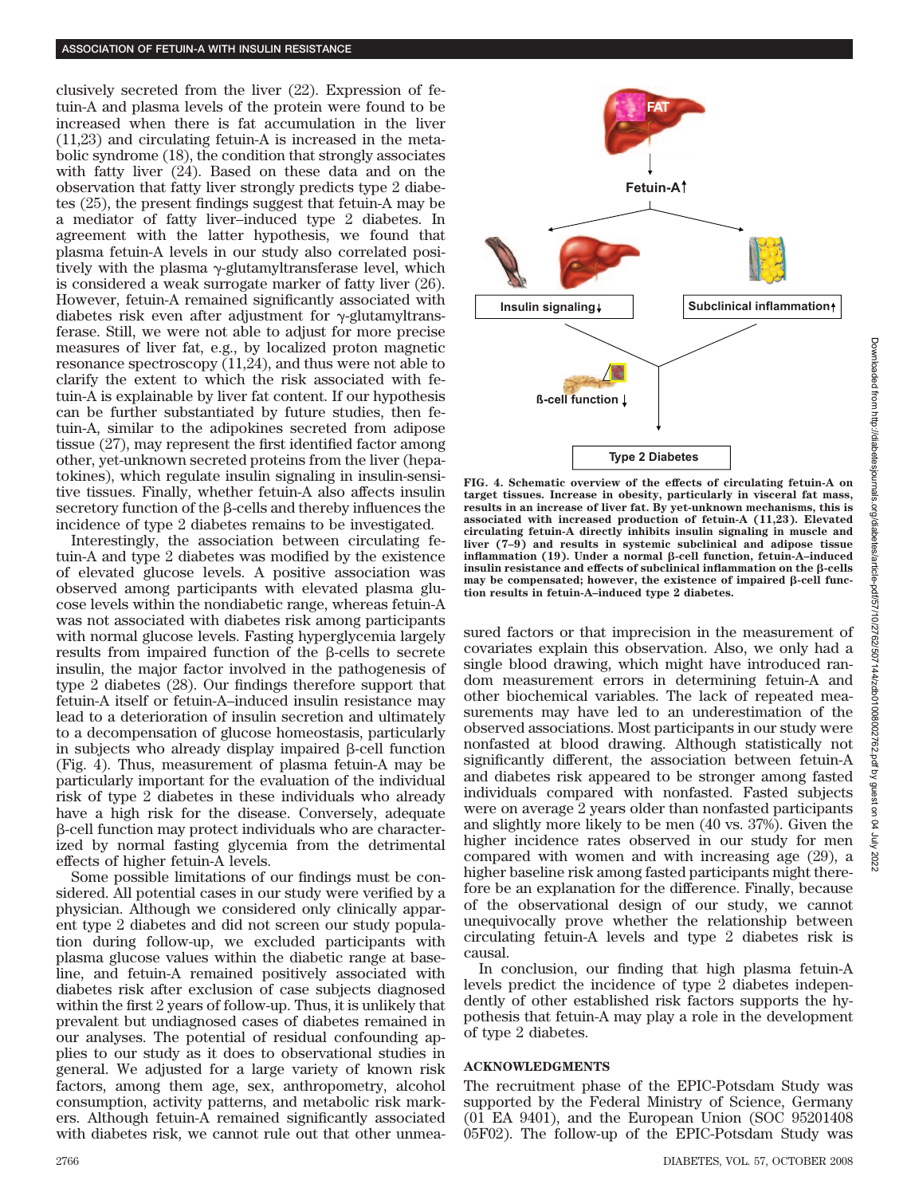clusively secreted from the liver (22). Expression of fetuin-A and plasma levels of the protein were found to be increased when there is fat accumulation in the liver (11,23) and circulating fetuin-A is increased in the metabolic syndrome (18), the condition that strongly associates with fatty liver (24). Based on these data and on the observation that fatty liver strongly predicts type 2 diabetes (25), the present findings suggest that fetuin-A may be a mediator of fatty liver–induced type 2 diabetes. In agreement with the latter hypothesis, we found that plasma fetuin-A levels in our study also correlated positively with the plasma  $\gamma$ -glutamyltransferase level, which is considered a weak surrogate marker of fatty liver (26). However, fetuin-A remained significantly associated with diabetes risk even after adjustment for  $\gamma$ -glutamyltransferase. Still, we were not able to adjust for more precise measures of liver fat, e.g., by localized proton magnetic resonance spectroscopy (11,24), and thus were not able to clarify the extent to which the risk associated with fetuin-A is explainable by liver fat content. If our hypothesis can be further substantiated by future studies, then fetuin-A, similar to the adipokines secreted from adipose tissue (27), may represent the first identified factor among other, yet-unknown secreted proteins from the liver (hepatokines), which regulate insulin signaling in insulin-sensitive tissues. Finally, whether fetuin-A also affects insulin  $s$  secretory function of the  $\beta$ -cells and thereby influences the incidence of type 2 diabetes remains to be investigated.

Interestingly, the association between circulating fetuin-A and type 2 diabetes was modified by the existence of elevated glucose levels. A positive association was observed among participants with elevated plasma glucose levels within the nondiabetic range, whereas fetuin-A was not associated with diabetes risk among participants with normal glucose levels. Fasting hyperglycemia largely results from impaired function of the  $\beta$ -cells to secrete insulin, the major factor involved in the pathogenesis of type 2 diabetes (28). Our findings therefore support that fetuin-A itself or fetuin-A–induced insulin resistance may lead to a deterioration of insulin secretion and ultimately to a decompensation of glucose homeostasis, particularly in subjects who already display impaired  $\beta$ -cell function (Fig. 4). Thus, measurement of plasma fetuin-A may be particularly important for the evaluation of the individual risk of type 2 diabetes in these individuals who already have a high risk for the disease. Conversely, adequate -cell function may protect individuals who are characterized by normal fasting glycemia from the detrimental effects of higher fetuin-A levels.

Some possible limitations of our findings must be considered. All potential cases in our study were verified by a physician. Although we considered only clinically apparent type 2 diabetes and did not screen our study population during follow-up, we excluded participants with plasma glucose values within the diabetic range at baseline, and fetuin-A remained positively associated with diabetes risk after exclusion of case subjects diagnosed within the first 2 years of follow-up. Thus, it is unlikely that prevalent but undiagnosed cases of diabetes remained in our analyses. The potential of residual confounding applies to our study as it does to observational studies in general. We adjusted for a large variety of known risk factors, among them age, sex, anthropometry, alcohol consumption, activity patterns, and metabolic risk markers. Although fetuin-A remained significantly associated with diabetes risk, we cannot rule out that other unmea-



**FIG. 4. Schematic overview of the effects of circulating fetuin-A on target tissues. Increase in obesity, particularly in visceral fat mass, results in an increase of liver fat. By yet-unknown mechanisms, this is associated with increased production of fetuin-A (11,23). Elevated circulating fetuin-A directly inhibits insulin signaling in muscle and liver (7–9) and results in systemic subclinical and adipose tissue** inflammation (19). Under a normal β-cell function, fetuin-A-induced insulin resistance and effects of subclinical inflammation on the  $\beta$ -cells  $max$  be compensated; however, the existence of impaired  $\beta$ -cell func**tion results in fetuin-A–induced type 2 diabetes.**

sured factors or that imprecision in the measurement of covariates explain this observation. Also, we only had a single blood drawing, which might have introduced random measurement errors in determining fetuin-A and other biochemical variables. The lack of repeated measurements may have led to an underestimation of the observed associations. Most participants in our study were nonfasted at blood drawing. Although statistically not significantly different, the association between fetuin-A and diabetes risk appeared to be stronger among fasted individuals compared with nonfasted. Fasted subjects were on average 2 years older than nonfasted participants and slightly more likely to be men (40 vs. 37%). Given the higher incidence rates observed in our study for men compared with women and with increasing age (29), a higher baseline risk among fasted participants might therefore be an explanation for the difference. Finally, because of the observational design of our study, we cannot unequivocally prove whether the relationship between circulating fetuin-A levels and type 2 diabetes risk is causal.

In conclusion, our finding that high plasma fetuin-A levels predict the incidence of type 2 diabetes independently of other established risk factors supports the hypothesis that fetuin-A may play a role in the development of type 2 diabetes.

# **ACKNOWLEDGMENTS**

The recruitment phase of the EPIC-Potsdam Study was supported by the Federal Ministry of Science, Germany (01 EA 9401), and the European Union (SOC 95201408 05F02). The follow-up of the EPIC-Potsdam Study was